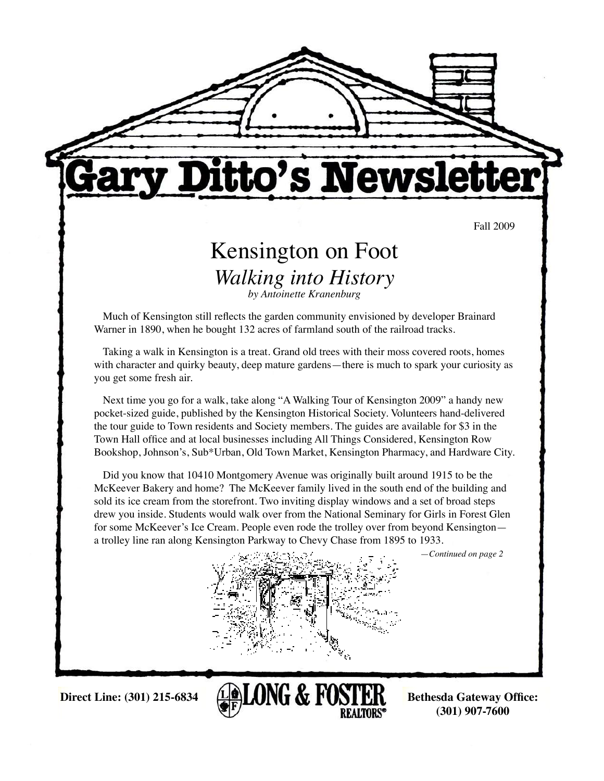

# itto's Newslet

Fall 2009

## Kensington on Foot *Walking into History by Antoinette Kranenburg*

Much of Kensington still reflects the garden community envisioned by developer Brainard Warner in 1890, when he bought 132 acres of farmland south of the railroad tracks.

Taking a walk in Kensington is a treat. Grand old trees with their moss covered roots, homes with character and quirky beauty, deep mature gardens—there is much to spark your curiosity as you get some fresh air.

Next time you go for a walk, take along "A Walking Tour of Kensington 2009" a handy new pocket-sized guide, published by the Kensington Historical Society. Volunteers hand-delivered the tour guide to Town residents and Society members. The guides are available for \$3 in the Town Hall office and at local businesses including All Things Considered, Kensington Row Bookshop, Johnson's, Sub\*Urban, Old Town Market, Kensington Pharmacy, and Hardware City.

Did you know that 10410 Montgomery Avenue was originally built around 1915 to be the McKeever Bakery and home? The McKeever family lived in the south end of the building and sold its ice cream from the storefront. Two inviting display windows and a set of broad steps drew you inside. Students would walk over from the National Seminary for Girls in Forest Glen for some McKeever's Ice Cream. People even rode the trolley over from beyond Kensington a trolley line ran along Kensington Parkway to Chevy Chase from 1895 to 1933.

—*Continued on page 2*





**(301) 907-7600**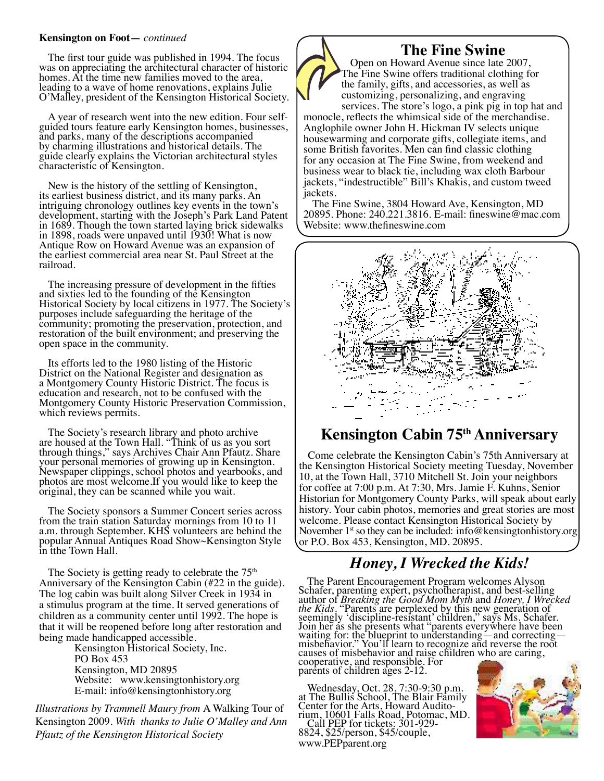#### **Kensington on Foot—** *continued*

The first tour guide was published in 1994. The focus was on appreciating the architectural character of historic homes. At the time new families moved to the area, leading to a wave of home renovations, explains Julie O'Malley, president of the Kensington Historical Society.

A year of research went into the new edition. Four selfguided tours feature early Kensington homes, businesses, and parks, many of the descriptions accompanied by charming illustrations and historical details. The guide clearly explains the Victorian architectural styles characteristic of Kensington.

New is the history of the settling of Kensington, its earliest business district, and its many parks. An intriguing chronology outlines key events in the town's development, starting with the Joseph's Park Land Patent in 1689. Though the town started laying brick sidewalks in 1898, roads were unpaved until 1930! What is now Antique Row on Howard Avenue was an expansion of the earliest commercial area near St. Paul Street at the railroad.

The increasing pressure of development in the fifties and sixties led to the founding of the Kensington Historical Society by local citizens in 1977. The Society's purposes include safeguarding the heritage of the community; promoting the preservation, protection, and restoration of the built environment; and preserving the open space in the community.

Its efforts led to the 1980 listing of the Historic District on the National Register and designation as a Montgomery County Historic District. The focus is education and research, not to be confused with the Montgomery County Historic Preservation Commission, which reviews permits.

The Society's research library and photo archive are housed at the Town Hall. "Think of us as you sort through things," says Archives Chair Ann Pfautz. Share your personal memories of growing up in Kensington. Newspaper clippings, school photos and yearbooks, and photos are most welcome.If you would like to keep the original, they can be scanned while you wait.

The Society sponsors a Summer Concert series across from the train station Saturday mornings from 10 to 11 a.m. through September. KHS volunteers are behind the popular Annual Antiques Road Show~Kensington Style in tthe Town Hall.

The Society is getting ready to celebrate the  $75<sup>th</sup>$ Anniversary of the Kensington Cabin (#22 in the guide). The log cabin was built along Silver Creek in 1934 in a stimulus program at the time. It served generations of children as a community center until 1992. The hope is that it will be reopened before long after restoration and being made handicapped accessible.

Kensington Historical Society, Inc. PO Box 453 Kensington, MD 20895 Website: www.kensingtonhistory.org E-mail: info@kensingtonhistory.org

*Illustrations by Trammell Maury from* A Walking Tour of Kensington 2009. *With thanks to Julie O'Malley and Ann Pfautz of the Kensington Historical Society*

# **The Fine Swine**

Open on Howard Avenue since late 2007, The Fine Swine offers traditional clothing for the family, gifts, and accessories, as well as customizing, personalizing, and engraving

services. The store's logo, a pink pig in top hat and monocle, reflects the whimsical side of the merchandise. Anglophile owner John H. Hickman IV selects unique housewarming and corporate gifts, collegiate items, and some British favorites. Men can find classic clothing for any occasion at The Fine Swine, from weekend and business wear to black tie, including wax cloth Barbour jackets, "indestructible" Bill's Khakis, and custom tweed jackets.

The Fine Swine, 3804 Howard Ave, Kensington, MD 20895. Phone: 240.221.3816. E-mail: fineswine@mac.com Website: www.thefineswine.com



#### **Kensington Cabin 75th Anniversary**

Come celebrate the Kensington Cabin's 75th Anniversary at the Kensington Historical Society meeting Tuesday, November 10, at the Town Hall, 3710 Mitchell St. Join your neighbors for coffee at 7:00 p.m. At 7:30, Mrs. Jamie F. Kuhns, Senior Historian for Montgomery County Parks, will speak about early history. Your cabin photos, memories and great stories are most welcome. Please contact Kensington Historical Society by November  $1<sup>st</sup>$  so they can be included: info@kensingtonhistory.org or P.O. Box 453, Kensington, MD. 20895.

#### *Honey, I Wrecked the Kids!*

The Parent Encouragement Program welcomes Alyson Schafer, parenting expert, psychotherapist, and best-selling author of *Breaking the Good Mom Myth* and *Honey, I Wrecked*<br>*the Kids*. "Parents are perplexed by this new generation of<br>seemingly 'discipline-resistant' children," says Ms. Schafer. Join her as she presents what "parents everywhere have been waiting for: the blueprint to understanding—and correcting misbehavior." You'll learn to recognize and reverse the root causes of misbehavior and raise children who are caring, cooperative, and responsible. For parents of children ages 2-12.

Wednesday, Oct. 28, 7:30-9:30 p.m.<br>at The Bullis School, The Blair Family<br>Center for the Arts, Howard Audito-Center for the Arts, Howard Audito-<br>rium, 10601 Falls Road, Potomac, MD.<br>Call PEP for tickets: 301-929-8824, \$25/person, \$45/couple, www.PEPparent.org

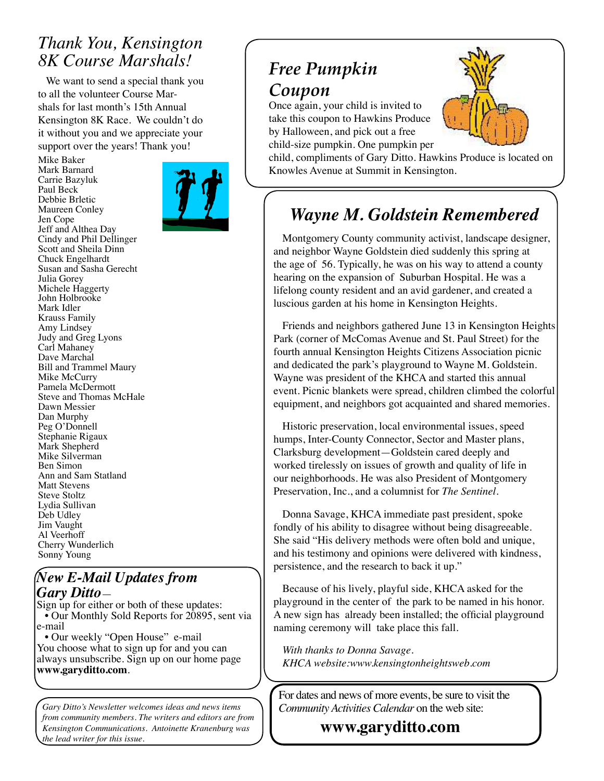### *Thank You, Kensington 8K Course Marshals!*

 We want to send a special thank you to all the volunteer Course Marshals for last month's 15th Annual Kensington 8K Race. We couldn't do it without you and we appreciate your support over the years! Thank you!

Mike Baker Mark Barnard



Carrie Bazyluk Paul Beck Debbie Brletic Maureen Conley Jen Cope Jeff and Althea Day Cindy and Phil Dellinger Scott and Sheila Dinn Chuck Engelhardt Susan and Sasha Gerecht Julia Gorey Michele Haggerty John Holbrooke Mark Idler Krauss Family Amy Lindsey Judy and Greg Lyons Carl Mahaney Dave Marchal Bill and Trammel Maury Mike McCurry Pamela McDermott Steve and Thomas McHale Dawn Messier Dan Murphy Peg O'Donnell Stephanie Rigaux Mark Shepherd Mike Silverman Ben Simon Ann and Sam Statland Matt Stevens Steve Stoltz Lydia Sullivan Deb Udley Jim Vaught Al Veerhoff Cherry Wunderlich Sonny Young

#### *New E-Mail Updates from Gary Ditto*—

Sign up for either or both of these updates: • Our Monthly Sold Reports for 20895, sent via e-mail

 • Our weekly "Open House" e-mail You choose what to sign up for and you can always unsubscribe. Sign up on our home page **www.garyditto.com**.

*Gary Ditto's Newsletter welcomes ideas and news items from community members. The writers and editors are from Kensington Communications. Antoinette Kranenburg was the lead writer for this issue.* 

## *Free Pumpkin Coupon*

Once again, your child is invited to take this coupon to Hawkins Produce by Halloween, and pick out a free child-size pumpkin. One pumpkin per



child, compliments of Gary Ditto. Hawkins Produce is located on Knowles Avenue at Summit in Kensington.

## *Wayne M. Goldstein Remembered*

Montgomery County community activist, landscape designer, and neighbor Wayne Goldstein died suddenly this spring at the age of 56. Typically, he was on his way to attend a county hearing on the expansion of Suburban Hospital. He was a lifelong county resident and an avid gardener, and created a luscious garden at his home in Kensington Heights.

Friends and neighbors gathered June 13 in Kensington Heights Park (corner of McComas Avenue and St. Paul Street) for the fourth annual Kensington Heights Citizens Association picnic and dedicated the park's playground to Wayne M. Goldstein. Wayne was president of the KHCA and started this annual event. Picnic blankets were spread, children climbed the colorful equipment, and neighbors got acquainted and shared memories.

Historic preservation, local environmental issues, speed humps, Inter-County Connector, Sector and Master plans, Clarksburg development—Goldstein cared deeply and worked tirelessly on issues of growth and quality of life in our neighborhoods. He was also President of Montgomery Preservation, Inc., and a columnist for *The Sentinel*.

Donna Savage, KHCA immediate past president, spoke fondly of his ability to disagree without being disagreeable. She said "His delivery methods were often bold and unique, and his testimony and opinions were delivered with kindness, persistence, and the research to back it up."

Because of his lively, playful side, KHCA asked for the playground in the center of the park to be named in his honor. A new sign has already been installed; the official playground naming ceremony will take place this fall.

*With thanks to Donna Savage. KHCA website:www.kensingtonheightsweb.com*

For dates and news of more events, be sure to visit the *Community Activities Calendar* on the web site:

 **www.garyditto.com**